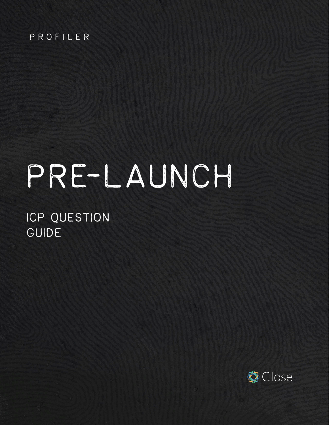#### PROFILER

# PRE-LAUNCH

ICP QUESTION GUIDE

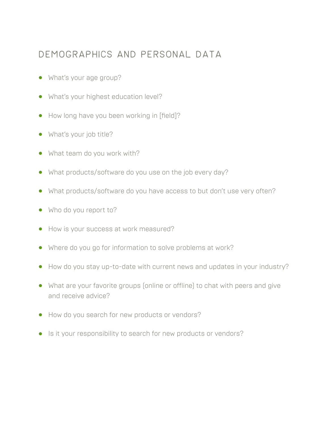#### Demographics and personal data

- **•** What's your age group?
- **•** What's your highest education level?
- **•** How long have you been working in [field]?
- **•** What's your job title?
- **•** What team do you work with?
- **•** What products/software do you use on the job every day?
- **•** What products/software do you have access to but don't use very often?
- **•** Who do you report to?
- **•** How is your success at work measured?
- **•** Where do you go for information to solve problems at work?
- **•** How do you stay up-to-date with current news and updates in your industry?
- **•** What are your favorite groups (online or offline) to chat with peers and give and receive advice?
- **•** How do you search for new products or vendors?
- **•** Is it your responsibility to search for new products or vendors?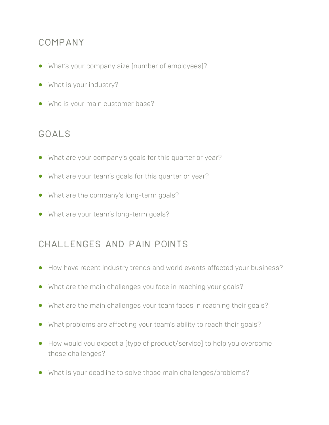#### COMPANY

- **•** What's your company size (number of employees)?
- **•** What is your industry?
- **•** Who is your main customer base?

#### Goals

- **•** What are your company's goals for this quarter or year?
- **•** What are your team's goals for this quarter or year?
- **•** What are the company's long-term goals?
- **•** What are your team's long-term goals?

## Challenges and pain points

- **•** How have recent industry trends and world events affected your business?
- **•** What are the main challenges you face in reaching your goals?
- **•** What are the main challenges your team faces in reaching their goals?
- **•** What problems are affecting your team's ability to reach their goals?
- **•** How would you expect a [type of product/service] to help you overcome those challenges?
- **•** What is your deadline to solve those main challenges/problems?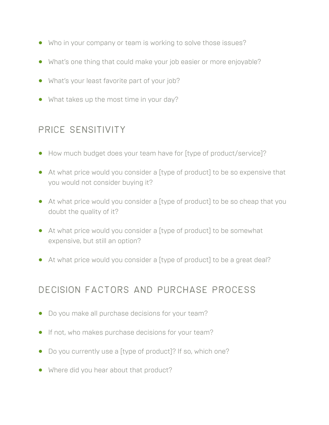- **•** Who in your company or team is working to solve those issues?
- **•** What's one thing that could make your job easier or more enjoyable?
- **•** What's your least favorite part of your job?
- **•** What takes up the most time in your day?

## Price sensitivity

- **•** How much budget does your team have for [type of product/service]?
- **•** At what price would you consider a [type of product] to be so expensive that you would not consider buying it?
- **•** At what price would you consider a [type of product] to be so cheap that you doubt the quality of it?
- **•** At what price would you consider a [type of product] to be somewhat expensive, but still an option?
- **•** At what price would you consider a [type of product] to be a great deal?

## Decision factors and purchase process

- **•** Do you make all purchase decisions for your team?
- **•** If not, who makes purchase decisions for your team?
- **•** Do you currently use a [type of product]? If so, which one?
- **•** Where did you hear about that product?